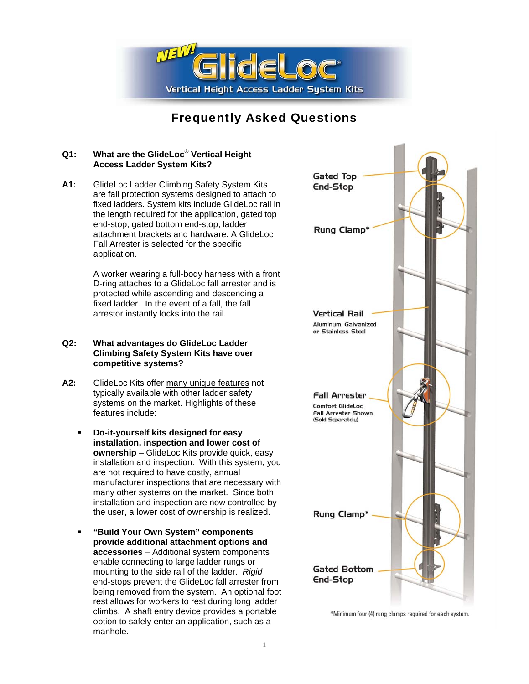

# Frequently Asked Questions

## **Q1: What are the GlideLoc® Vertical Height Access Ladder System Kits?**

**A1:** GlideLoc Ladder Climbing Safety System Kits are fall protection systems designed to attach to fixed ladders. System kits include GlideLoc rail in the length required for the application, gated top end-stop, gated bottom end-stop, ladder attachment brackets and hardware. A GlideLoc Fall Arrester is selected for the specific application.

> A worker wearing a full-body harness with a front D-ring attaches to a GlideLoc fall arrester and is protected while ascending and descending a fixed ladder. In the event of a fall, the fall arrestor instantly locks into the rail.

### **Q2: What advantages do GlideLoc Ladder Climbing Safety System Kits have over competitive systems?**

- A2: GlideLoc Kits offer many unique features not typically available with other ladder safety systems on the market. Highlights of these features include:
	- **Do-it-yourself kits designed for easy installation, inspection and lower cost of ownership** – GlideLoc Kits provide quick, easy installation and inspection. With this system, you are not required to have costly, annual manufacturer inspections that are necessary with many other systems on the market. Since both installation and inspection are now controlled by the user, a lower cost of ownership is realized.
	- **"Build Your Own System" components provide additional attachment options and accessories** – Additional system components enable connecting to large ladder rungs or mounting to the side rail of the ladder. *Rigid* end-stops prevent the GlideLoc fall arrester from being removed from the system. An optional foot rest allows for workers to rest during long ladder climbs. A shaft entry device provides a portable option to safely enter an application, such as a manhole.



\*Minimum four (4) rung clamps required for each system.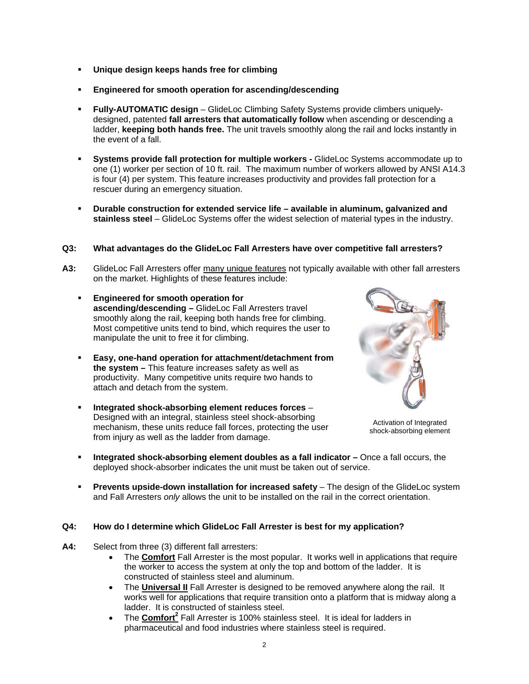- **Unique design keeps hands free for climbing**
- **Engineered for smooth operation for ascending/descending**
- **Fully-AUTOMATIC design** GlideLoc Climbing Safety Systems provide climbers uniquelydesigned, patented **fall arresters that automatically follow** when ascending or descending a ladder, **keeping both hands free.** The unit travels smoothly along the rail and locks instantly in the event of a fall.
- **Systems provide fall protection for multiple workers** GlideLoc Systems accommodate up to one (1) worker per section of 10 ft. rail. The maximum number of workers allowed by ANSI A14.3 is four (4) per system. This feature increases productivity and provides fall protection for a rescuer during an emergency situation.
- **Durable construction for extended service life available in aluminum, galvanized and stainless steel** – GlideLoc Systems offer the widest selection of material types in the industry.

# **Q3: What advantages do the GlideLoc Fall Arresters have over competitive fall arresters?**

- **A3:** GlideLoc Fall Arresters offer many unique features not typically available with other fall arresters on the market. Highlights of these features include:
	- **Engineered for smooth operation for ascending/descending –** GlideLoc Fall Arresters travel smoothly along the rail, keeping both hands free for climbing. Most competitive units tend to bind, which requires the user to manipulate the unit to free it for climbing.
	- **Easy, one-hand operation for attachment/detachment from the system –** This feature increases safety as well as productivity. Many competitive units require two hands to attach and detach from the system.
	- **Integrated shock-absorbing element reduces forces** Designed with an integral, stainless steel shock-absorbing mechanism, these units reduce fall forces, protecting the user from injury as well as the ladder from damage.



Activation of Integrated shock-absorbing element

- **Integrated shock-absorbing element doubles as a fall indicator Once a fall occurs, the** deployed shock-absorber indicates the unit must be taken out of service.
- **Prevents upside-down installation for increased safety** The design of the GlideLoc system and Fall Arresters *only* allows the unit to be installed on the rail in the correct orientation.

# **Q4: How do I determine which GlideLoc Fall Arrester is best for my application?**

- **A4:** Select from three (3) different fall arresters:
	- The **Comfort** Fall Arrester is the most popular. It works well in applications that require the worker to access the system at only the top and bottom of the ladder. It is constructed of stainless steel and aluminum.
	- The **Universal II** Fall Arrester is designed to be removed anywhere along the rail. It works well for applications that require transition onto a platform that is midway along a ladder. It is constructed of stainless steel.
	- The **Comfort<sup>2</sup>** Fall Arrester is 100% stainless steel. It is ideal for ladders in pharmaceutical and food industries where stainless steel is required.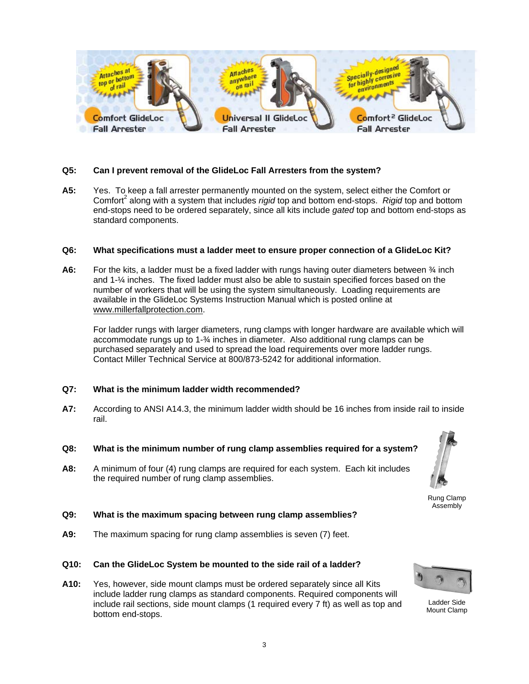

### **Q5: Can I prevent removal of the GlideLoc Fall Arresters from the system?**

**A5:** Yes. To keep a fall arrester permanently mounted on the system, select either the Comfort or Comfort<sup>2</sup> along with a system that includes *rigid* top and bottom end-stops. Rigid top and bottom end-stops need to be ordered separately, since all kits include *gated* top and bottom end-stops as standard components.

#### **Q6: What specifications must a ladder meet to ensure proper connection of a GlideLoc Kit?**

**A6:** For the kits, a ladder must be a fixed ladder with rungs having outer diameters between ¾ inch and 1-¼ inches. The fixed ladder must also be able to sustain specified forces based on the number of workers that will be using the system simultaneously. Loading requirements are available in the GlideLoc Systems Instruction Manual which is posted online at [www.millerfallprotection.com.](http://www.millerfallprotection.com/)

For ladder rungs with larger diameters, rung clamps with longer hardware are available which will accommodate rungs up to 1-¾ inches in diameter. Also additional rung clamps can be purchased separately and used to spread the load requirements over more ladder rungs. Contact Miller Technical Service at 800/873-5242 for additional information.

# **Q7: What is the minimum ladder width recommended?**

- **A7:** According to ANSI A14.3, the minimum ladder width should be 16 inches from inside rail to inside rail.
- **Q8: What is the minimum number of rung clamp assemblies required for a system?**
- **A8:** A minimum of four (4) rung clamps are required for each system. Each kit includes the required number of rung clamp assemblies.

Rung Clamp

Assembly

# **Q9: What is the maximum spacing between rung clamp assemblies?**

**A9:** The maximum spacing for rung clamp assemblies is seven (7) feet.

### **Q10: Can the GlideLoc System be mounted to the side rail of a ladder?**

**A10:** Yes, however, side mount clamps must be ordered separately since all Kits include ladder rung clamps as standard components. Required components will include rail sections, side mount clamps (1 required every 7 ft) as well as top and bottom end-stops.



Ladder Side Mount Clamp